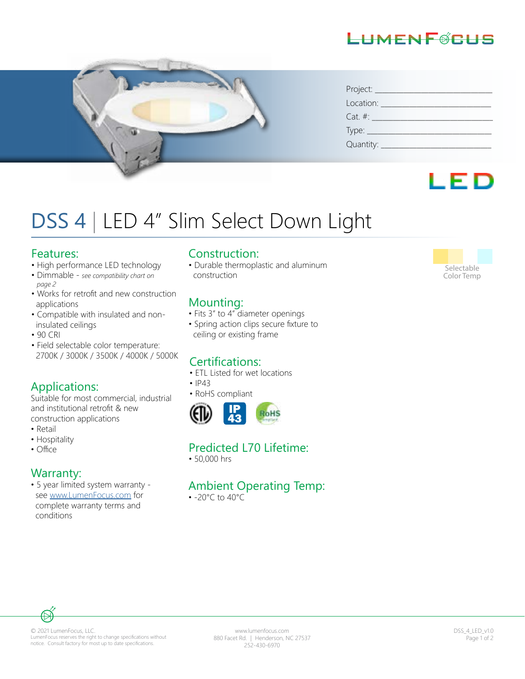



| Project:   |
|------------|
| Location:  |
| $Cat. \#:$ |
| Type: $\_$ |
| Quantity:  |



# DSS 4 | LED 4" Slim Select Down Light

#### Features:

- High performance LED technology
- Dimmable *see compatibility chart on page 2*
- Works for retrofit and new construction applications
- Compatible with insulated and non insulated ceilings
- 90 CRI
- Field selectable color temperature: 2700K / 3000K / 3500K / 4000K / 5000K

#### Applications:

Suitable for most commercial, industrial and institutional retrofit & new construction applications

- Retail
- Hospitality<br>• Office
- 

#### Warranty:

• 5 year limited system warranty see www.LumenFocus.com for complete warranty terms and conditions

#### Construction:

• Durable thermoplastic and aluminum construction

#### Mounting:

- Fits 3" to 4" diameter openings
- Spring action clips secure fixture to ceiling or existing frame

### Certifications:

- ETL Listed for wet locations
- IP43
- RoHS compliant



#### Predicted L70 Lifetime:

• 50,000 hrs

#### Ambient Operating Temp:

• -20°C to 40°C



#### © 2021 LumenFocus, LLC. LumenFocus reserves the right to change specifications without notice. Consult factory for most up to date specifications.

www.lumenfocus.com 880 Facet Rd. | Henderson, NC 27537 252-430-6970